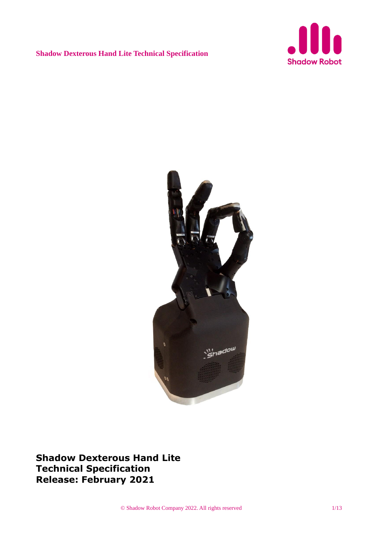



**Shadow Dexterous Hand Lite Technical Specification Release: February 2021**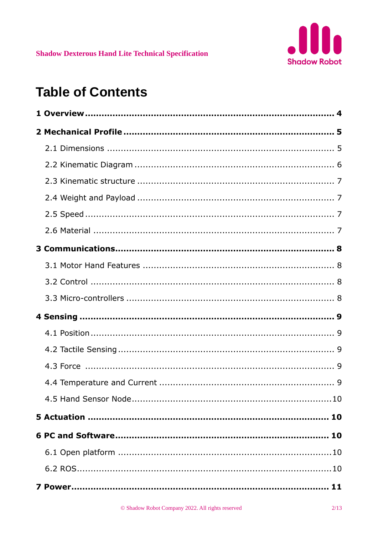

# **Table of Contents**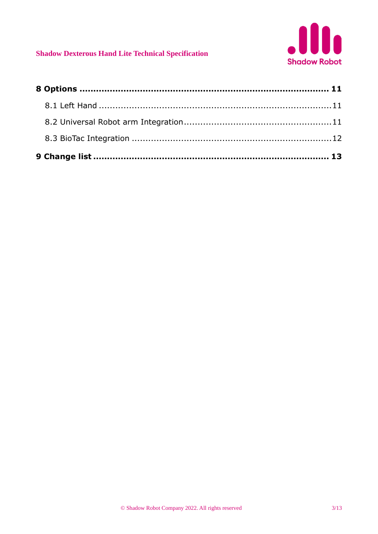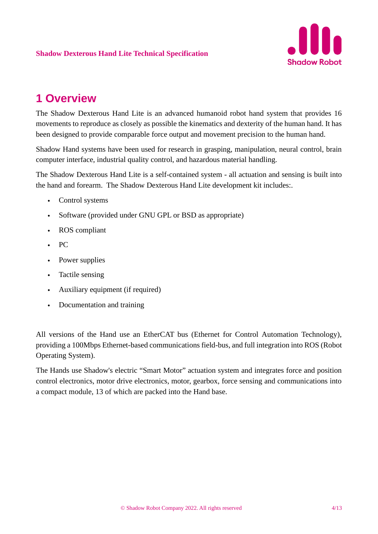

## **1 Overview**

The Shadow Dexterous Hand Lite is an advanced humanoid robot hand system that provides 16 movements to reproduce as closely as possible the kinematics and dexterity of the human hand. It has been designed to provide comparable force output and movement precision to the human hand.

Shadow Hand systems have been used for research in grasping, manipulation, neural control, brain computer interface, industrial quality control, and hazardous material handling.

The Shadow Dexterous Hand Lite is a self-contained system - all actuation and sensing is built into the hand and forearm. The Shadow Dexterous Hand Lite development kit includes:.

- Control systems
- Software (provided under GNU GPL or BSD as appropriate)
- ROS compliant
- PC
- Power supplies
- Tactile sensing
- Auxiliary equipment (if required)
- Documentation and training

All versions of the Hand use an EtherCAT bus (Ethernet for Control Automation Technology), providing a 100Mbps Ethernet-based communications field-bus, and full integration into ROS (Robot Operating System).

The Hands use Shadow's electric "Smart Motor" actuation system and integrates force and position control electronics, motor drive electronics, motor, gearbox, force sensing and communications into a compact module, 13 of which are packed into the Hand base.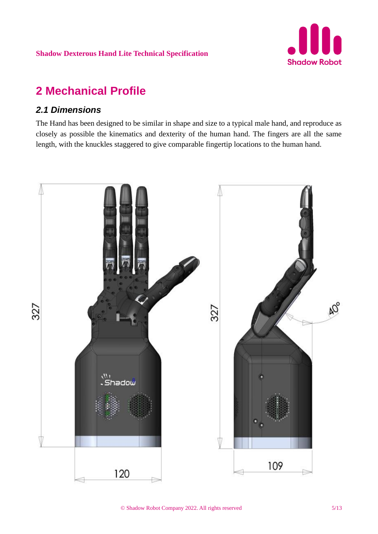

## **2 Mechanical Profile**

#### *2.1 Dimensions*

The Hand has been designed to be similar in shape and size to a typical male hand, and reproduce as closely as possible the kinematics and dexterity of the human hand. The fingers are all the same length, with the knuckles staggered to give comparable fingertip locations to the human hand.

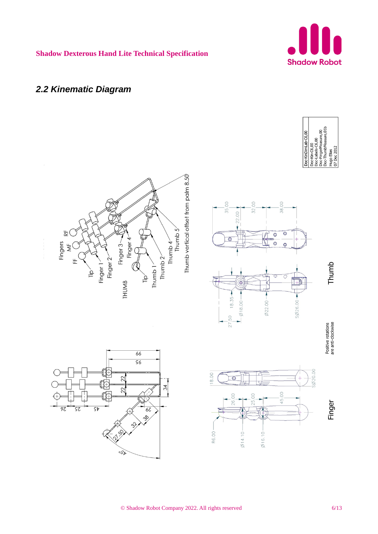



### *2.2 Kinematic Diagram*

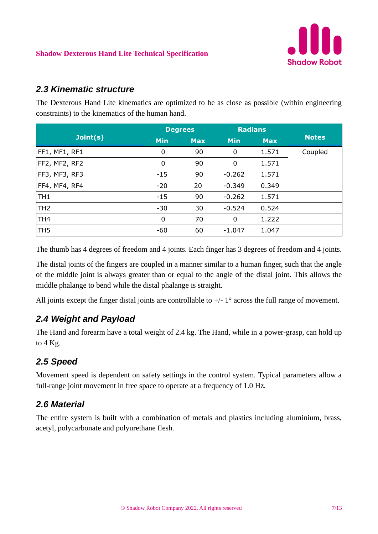

### *2.3 Kinematic structure*

The Dexterous Hand Lite kinematics are optimized to be as close as possible (within engineering constraints) to the kinematics of the human hand.

|                 | <b>Degrees</b> |            | <b>Radians</b> |            |              |
|-----------------|----------------|------------|----------------|------------|--------------|
| Join(s)         | <b>Min</b>     | <b>Max</b> | <b>Min</b>     | <b>Max</b> | <b>Notes</b> |
| FF1, MF1, RF1   | 0              | 90         | 0              | 1.571      | Coupled      |
| FF2, MF2, RF2   | 0              | 90         | 0              | 1.571      |              |
| FF3, MF3, RF3   | $-15$          | 90         | $-0.262$       | 1.571      |              |
| FF4, MF4, RF4   | $-20$          | 20         | $-0.349$       | 0.349      |              |
| TH <sub>1</sub> | $-15$          | 90         | $-0.262$       | 1.571      |              |
| TH <sub>2</sub> | $-30$          | 30         | $-0.524$       | 0.524      |              |
| TH <sub>4</sub> | $\mathbf 0$    | 70         | 0              | 1.222      |              |
| TH <sub>5</sub> | $-60$          | 60         | $-1.047$       | 1.047      |              |

The thumb has 4 degrees of freedom and 4 joints. Each finger has 3 degrees of freedom and 4 joints.

The distal joints of the fingers are coupled in a manner similar to a human finger, such that the angle of the middle joint is always greater than or equal to the angle of the distal joint. This allows the middle phalange to bend while the distal phalange is straight.

All joints except the finger distal joints are controllable to  $+/-1$ <sup>o</sup> across the full range of movement.

### *2.4 Weight and Payload*

The Hand and forearm have a total weight of 2.4 kg. The Hand, while in a power-grasp, can hold up to 4 Kg.

### *2.5 Speed*

Movement speed is dependent on safety settings in the control system. Typical parameters allow a full-range joint movement in free space to operate at a frequency of 1.0 Hz.

### *2.6 Material*

The entire system is built with a combination of metals and plastics including aluminium, brass, acetyl, polycarbonate and polyurethane flesh.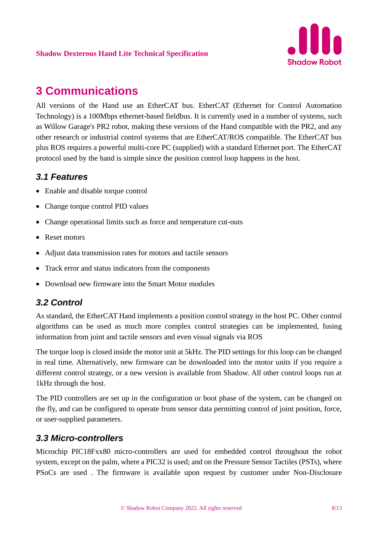

## **3 Communications**

All versions of the Hand use an EtherCAT bus. EtherCAT (Ethernet for Control Automation Technology) is a 100Mbps ethernet-based fieldbus. It is currently used in a number of systems, such as Willow Garage's PR2 robot, making these versions of the Hand compatible with the PR2, and any other research or industrial control systems that are EtherCAT/ROS compatible. The EtherCAT bus plus ROS requires a powerful multi-core PC (supplied) with a standard Ethernet port. The EtherCAT protocol used by the hand is simple since the position control loop happens in the host.

### *3.1 Features*

- Enable and disable torque control
- Change torque control PID values
- Change operational limits such as force and temperature cut-outs
- Reset motors
- Adjust data transmission rates for motors and tactile sensors
- Track error and status indicators from the components
- Download new firmware into the Smart Motor modules

### *3.2 Control*

As standard, the EtherCAT Hand implements a position control strategy in the host PC. Other control algorithms can be used as much more complex control strategies can be implemented, fusing information from joint and tactile sensors and even visual signals via ROS

The torque loop is closed inside the motor unit at 5kHz. The PID settings for this loop can be changed in real time. Alternatively, new firmware can be downloaded into the motor units if you require a different control strategy, or a new version is available from Shadow. All other control loops run at 1kHz through the host.

The PID controllers are set up in the configuration or boot phase of the system, can be changed on the fly, and can be configured to operate from sensor data permitting control of joint position, force, or user-supplied parameters.

#### *3.3 Micro-controllers*

Microchip PIC18Fxx80 micro-controllers are used for embedded control throughout the robot system, except on the palm, where a PIC32 is used; and on the Pressure Sensor Tactiles (PSTs), where PSoCs are used . The firmware is available upon request by customer under Non-Disclosure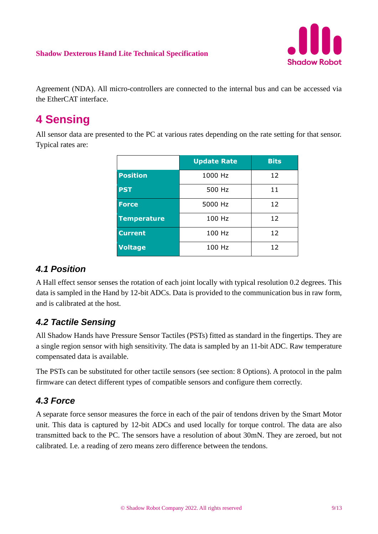

Agreement (NDA). All micro-controllers are connected to the internal bus and can be accessed via the EtherCAT interface.

## **4 Sensing**

All sensor data are presented to the PC at various rates depending on the rate setting for that sensor. Typical rates are:

|                    | <b>Update Rate</b> | <b>Bits</b> |
|--------------------|--------------------|-------------|
| <b>Position</b>    | 1000 Hz            | 12          |
| <b>PST</b>         | 500 Hz             | 11          |
| <b>Force</b>       | 5000 Hz            | 12          |
| <b>Temperature</b> | 100 Hz             | 12          |
| <b>Current</b>     | 100 Hz             | 12          |
| <b>Voltage</b>     | 100 Hz             | 12          |

### *4.1 Position*

A Hall effect sensor senses the rotation of each joint locally with typical resolution 0.2 degrees. This data is sampled in the Hand by 12-bit ADCs. Data is provided to the communication bus in raw form, and is calibrated at the host.

### *4.2 Tactile Sensing*

All Shadow Hands have Pressure Sensor Tactiles (PSTs) fitted as standard in the fingertips. They are a single region sensor with high sensitivity. The data is sampled by an 11-bit ADC. Raw temperature compensated data is available.

The PSTs can be substituted for other tactile sensors (see section: 8 Options). A protocol in the palm firmware can detect different types of compatible sensors and configure them correctly.

### *4.3 Force*

A separate force sensor measures the force in each of the pair of tendons driven by the Smart Motor unit. This data is captured by 12-bit ADCs and used locally for torque control. The data are also transmitted back to the PC. The sensors have a resolution of about 30mN. They are zeroed, but not calibrated. I.e. a reading of zero means zero difference between the tendons.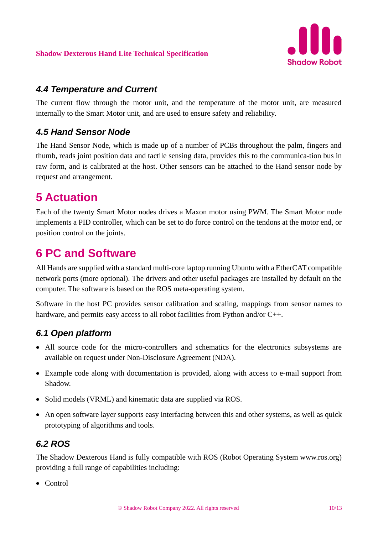

#### *4.4 Temperature and Current*

The current flow through the motor unit, and the temperature of the motor unit, are measured internally to the Smart Motor unit, and are used to ensure safety and reliability.

### *4.5 Hand Sensor Node*

The Hand Sensor Node, which is made up of a number of PCBs throughout the palm, fingers and thumb, reads joint position data and tactile sensing data, provides this to the communica-tion bus in raw form, and is calibrated at the host. Other sensors can be attached to the Hand sensor node by request and arrangement.

## **5 Actuation**

Each of the twenty Smart Motor nodes drives a Maxon motor using PWM. The Smart Motor node implements a PID controller, which can be set to do force control on the tendons at the motor end, or position control on the joints.

## **6 PC and Software**

All Hands are supplied with a standard multi-core laptop running Ubuntu with a EtherCAT compatible network ports (more optional). The drivers and other useful packages are installed by default on the computer. The software is based on the ROS meta-operating system.

Software in the host PC provides sensor calibration and scaling, mappings from sensor names to hardware, and permits easy access to all robot facilities from Python and/or C++.

### *6.1 Open platform*

- All source code for the micro-controllers and schematics for the electronics subsystems are available on request under Non-Disclosure Agreement (NDA).
- Example code along with documentation is provided, along with access to e-mail support from Shadow.
- Solid models (VRML) and kinematic data are supplied via ROS.
- An open software layer supports easy interfacing between this and other systems, as well as quick prototyping of algorithms and tools.

### *6.2 ROS*

The Shadow Dexterous Hand is fully compatible with ROS (Robot Operating System www.ros.org) providing a full range of capabilities including:

• Control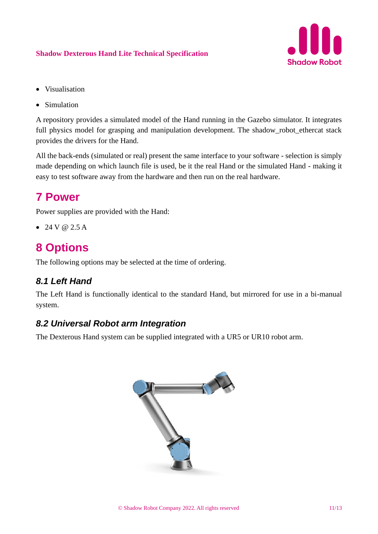

- Visualisation
- Simulation

A repository provides a simulated model of the Hand running in the Gazebo simulator. It integrates full physics model for grasping and manipulation development. The shadow\_robot\_ethercat stack provides the drivers for the Hand.

All the back-ends (simulated or real) present the same interface to your software - selection is simply made depending on which launch file is used, be it the real Hand or the simulated Hand - making it easy to test software away from the hardware and then run on the real hardware.

## **7 Power**

Power supplies are provided with the Hand:

• 24 V  $\omega$  2.5 A

## **8 Options**

The following options may be selected at the time of ordering.

### *8.1 Left Hand*

The Left Hand is functionally identical to the standard Hand, but mirrored for use in a bi-manual system.

#### *8.2 Universal Robot arm Integration*

The Dexterous Hand system can be supplied integrated with a UR5 or UR10 robot arm.

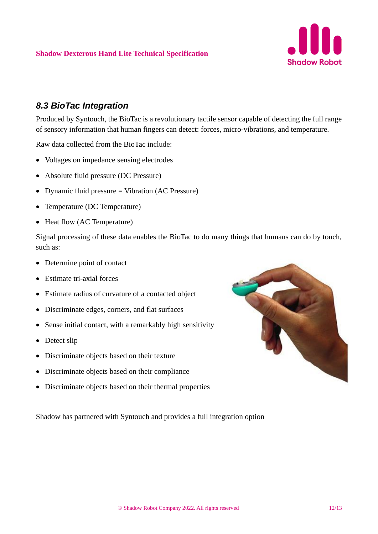

#### *8.3 BioTac Integration*

Produced by Syntouch, the BioTac is a revolutionary tactile sensor capable of detecting the full range of sensory information that human fingers can detect: forces, micro-vibrations, and temperature.

Raw data collected from the BioTac include:

- Voltages on impedance sensing electrodes
- Absolute fluid pressure (DC Pressure)
- Dynamic fluid pressure = Vibration (AC Pressure)
- Temperature (DC Temperature)
- Heat flow (AC Temperature)

Signal processing of these data enables the BioTac to do many things that humans can do by touch, such as:

- Determine point of contact
- Estimate tri-axial forces
- Estimate radius of curvature of a contacted object
- Discriminate edges, corners, and flat surfaces
- Sense initial contact, with a remarkably high sensitivity
- Detect slip
- Discriminate objects based on their texture
- Discriminate objects based on their compliance
- Discriminate objects based on their thermal properties

Shadow has partnered with Syntouch and provides a full integration option